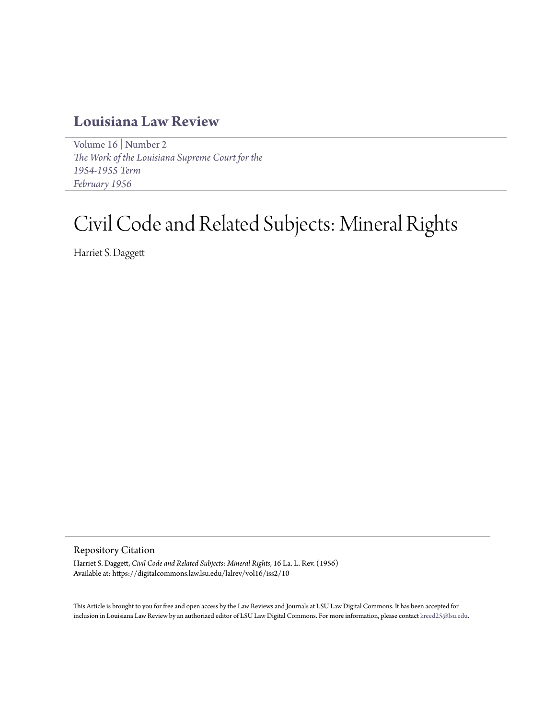# **[Louisiana Law Review](https://digitalcommons.law.lsu.edu/lalrev)**

[Volume 16](https://digitalcommons.law.lsu.edu/lalrev/vol16) | [Number 2](https://digitalcommons.law.lsu.edu/lalrev/vol16/iss2) *[The Work of the Louisiana Supreme Court for the](https://digitalcommons.law.lsu.edu/lalrev/vol16/iss2) [1954-1955 Term](https://digitalcommons.law.lsu.edu/lalrev/vol16/iss2) [February 1956](https://digitalcommons.law.lsu.edu/lalrev/vol16/iss2)*

# Civil Code and Related Subjects: Mineral Rights

Harriet S. Daggett

Repository Citation

Harriet S. Daggett, *Civil Code and Related Subjects: Mineral Rights*, 16 La. L. Rev. (1956) Available at: https://digitalcommons.law.lsu.edu/lalrev/vol16/iss2/10

This Article is brought to you for free and open access by the Law Reviews and Journals at LSU Law Digital Commons. It has been accepted for inclusion in Louisiana Law Review by an authorized editor of LSU Law Digital Commons. For more information, please contact [kreed25@lsu.edu](mailto:kreed25@lsu.edu).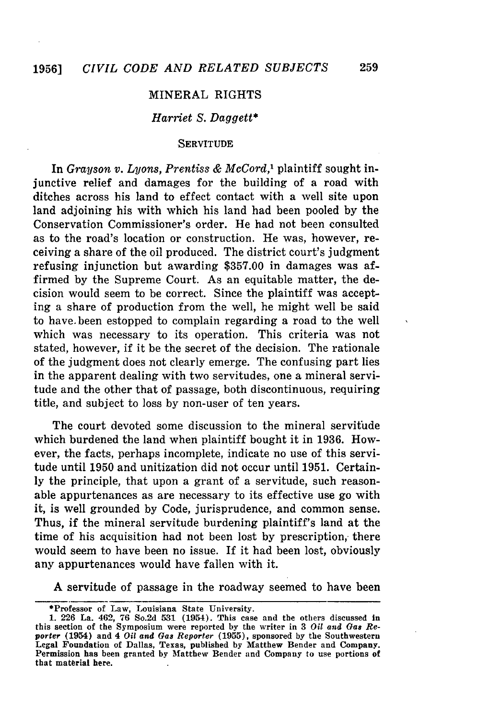## MINERAL RIGHTS

### *Harriet S. Daggett\**

#### **SERVITUDE**

In Grayson *v. Lyons, Prentiss & McCord,'* plaintiff sought injunctive relief and damages for the building of a road with ditches across his land to effect contact with a well site upon land adjoining his with which his land had been pooled by the Conservation Commissioner's order. He had not been consulted as to the road's location or construction. He was, however, receiving a share of the oil produced. The district court's judgment refusing injunction but awarding \$357.00 in damages was affirmed by the Supreme Court. As an equitable matter, the decision would seem to be correct. Since the plaintiff was accepting a share of production from the well, he might well be said to have.been estopped to complain regarding a road to the well which was necessary to its operation. This criteria was not stated, however, if it be the secret of the decision. The rationale of the judgment does not clearly emerge. The confusing part lies in the apparent dealing with two servitudes, one a mineral servitude and the other that of passage, both discontinuous, requiring title, and subject to loss by non-user of ten years.

The court devoted some discussion to the mineral servitude which burdened the land when plaintiff bought it in 1936. However, the facts, perhaps incomplete, indicate no use of this servitude until 1950 and unitization did not occur until 1951. Certainly the principle, that upon a grant of a servitude, such reasonable appurtenances as are necessary to its effective use go with it, is well grounded by Code, jurisprudence, and common sense. Thus, if the mineral servitude burdening plaintiff's land at the time of his acquisition had not been lost by prescription, there would seem to have been no issue. If it had been lost, obviously any appurtenances would have fallen with it.

A servitude of passage in the roadway seemed to have been

<sup>\*</sup>Professor of Law, Louisiana State University.

<sup>1. 226</sup> La. 462, **76** So.2d **531** (1954). This case and the others discussed in this section of the Symposium were reported by the writer in **3** *Oil and Gas* Re**porter** (1954) and 4 *Oil and Gas Reporter* **(1955),** sponsored **by** the Southwestern Legal Foundation of Dallas, **Texas,** published **by** Matthew Bender **and** Company. **Permission has** been granted **by** Matthew Bender and Company to use portions **of** that material here.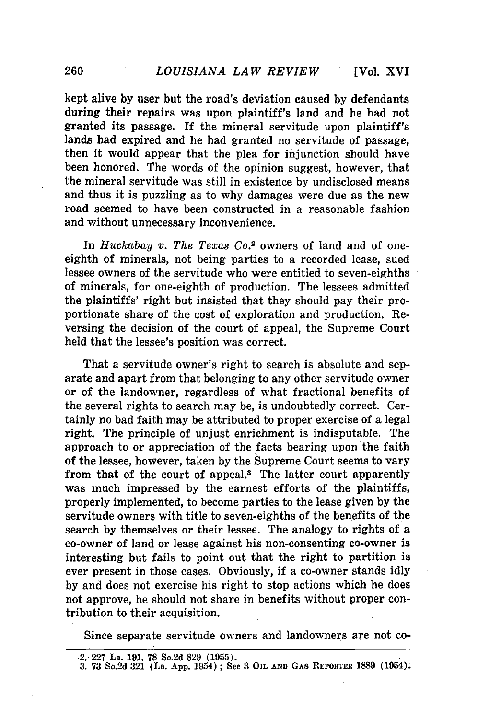kept alive by user but the road's deviation caused by defendants during their repairs was upon plaintiff's land and he had not granted its passage. If the mineral servitude upon plaintiff's lands had expired and he had granted no servitude of passage, then it would appear that the plea for injunction should have been honored. The words of the opinion suggest, however, that the mineral servitude was still in existence **by** undisclosed means and thus it is puzzling as to why damages were due as the new road seemed to have been constructed in a reasonable fashion and without unnecessary inconvenience.

In *Huckabay v. The Texas Co.*<sup>2</sup> owners of land and of oneeighth of minerals, not being parties to a recorded lease, sued lessee owners of the servitude who were entitled to seven-eighths of minerals, for one-eighth of production. The lessees admitted the plaintiffs' right but insisted that they should pay their proportionate share of the cost of exploration and production. Reversing the decision of the court of appeal, the Supreme Court held that the lessee's position was correct.

That a servitude owner's right to search is absolute and separate and apart from that belonging to any other servitude owner or of the landowner, regardless of what fractional benefits of the several rights to search may be, is undoubtedly correct. Certainly no bad faith may be attributed to proper exercise of a legal right. The principle of unjust enrichment is indisputable. The approach to or appreciation of the facts bearing upon the faith of the lessee, however, taken **by** the Supreme Court seems to vary from that of the court of appeal.<sup>3</sup> The latter court apparently was much impressed **by** the earnest efforts of the plaintiffs, properly implemented, to become parties to the lease given **by** the servitude owners with title to seven-eighths of the benefits of the search **by** themselves or their lessee. The analogy to rights of a co-owner of land or lease against his non-consenting co-owner is interesting but fails to point out that the right to partition is ever present in those cases. Obviously, if a co-owner stands idly **by** and does not exercise his right to stop actions which he does not approve, he should not share in benefits without proper contribution to their acquisition.

Since separate servitude owners and landowners are not co-

**<sup>2. 227</sup> La. 191, 78 So.2d 829 (1955).**

**<sup>3. 73</sup> So.2d 321 (La. App. 1954) ; See 3 OIL AND GAS REPORTER 1889 (1954).**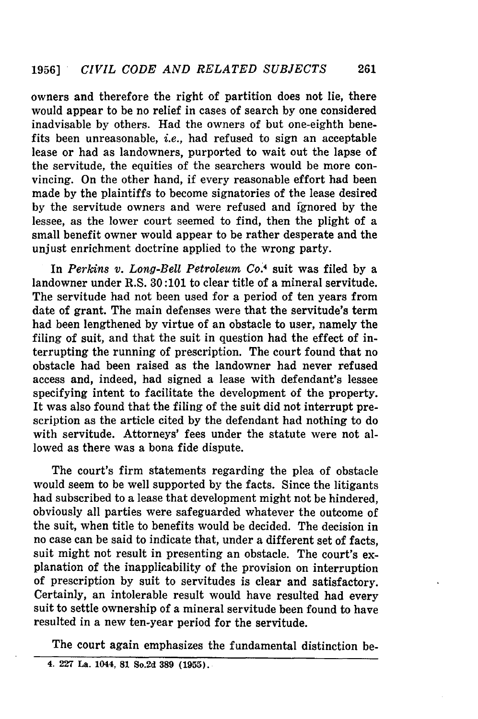owners and therefore the right of partition does not lie, there would appear to be no relief in cases of search by one considered inadvisable by others. Had the owners of but one-eighth benefits been unreasonable, *i.e.,* had refused to sign an acceptable lease or had as landowners, purported to wait out the lapse of the servitude, the equities of the searchers would be more convincing. On the other hand, if every reasonable effort had been made by the plaintiffs to become signatories of the lease desired by the servitude owners and were refused and ignored by the lessee, as the lower court seemed to find, then the plight of a small benefit owner would appear to be rather desperate and the unjust enrichment doctrine applied to the wrong party.

In *Perkins v. Long-Bell Petroleum Co.4* suit was filed by a landowner under R.S. 30:101 to clear title of a mineral servitude. The servitude had not been used for a period of ten years from date of grant. The main defenses were that the servitude's term had been lengthened by virtue of an obstacle to user, namely the filing of suit, and that the suit in question had the effect of interrupting the running of prescription. The court found that no obstacle had been raised as the landowner had never refused access and, indeed, had signed a lease with defendant's lessee specifying intent to facilitate the development of the property. It was also found that the filing of the suit did not interrupt prescription as the article cited by the defendant had nothing to do with servitude. Attorneys' fees under the statute were not allowed as there was a bona fide dispute.

The court's firm statements regarding the plea of obstacle would seem to be well supported by the facts. Since the litigants had subscribed to a lease that development might not be hindered, obviously all parties were safeguarded whatever the outcome of the suit, when title to benefits would be decided. The decision in no case can be said to indicate that, under a different set of facts, suit might not result in presenting an obstacle. The court's explanation of the inapplicability of the provision on interruption of prescription by suit to servitudes is clear and satisfactory. Certainly, an intolerable result would have resulted had every suit to settle ownership of a mineral servitude been found to have resulted in a new ten-year period for the servitude.

The court again emphasizes the fundamental distinction be-

**<sup>4. 227</sup> La. 1044, 81 So.2d 389 (1955).**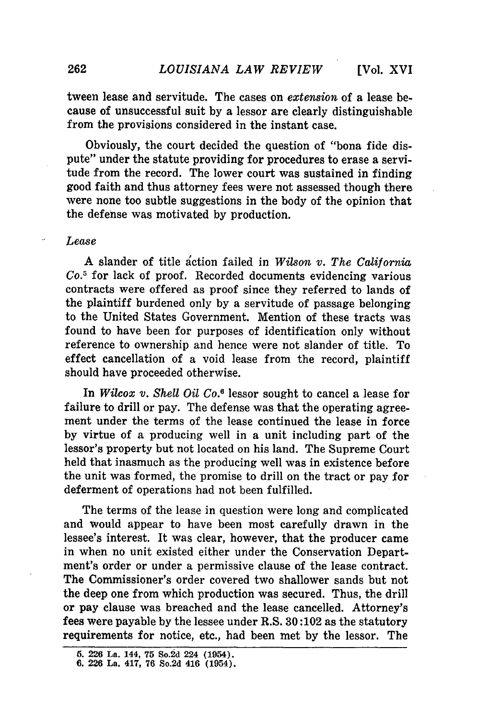tween lease and servitude. The cases on *extension* of a lease because of unsuccessful suit by a lessor are clearly distinguishable from the provisions considered in the instant case.

Obviously, the court decided the question of "bona fide dispute" under the statute providing for procedures to erase a servitude from the record. The lower court was sustained in finding good faith and thus attorney fees were not assessed though there were none too subtle suggestions in the body of the opinion that the defense was motivated by production.

#### *Lease*

A slander of title action failed in *Wilson v. The California Co.5* for lack of proof. Recorded documents evidencing various contracts were offered as proof since they referred to lands of the plaintiff burdened only by a servitude of passage belonging to the United States Government. Mention of these tracts was found to have been for purposes of identification only without reference to ownership and hence were not slander of title. To effect cancellation of a void lease from the record, plaintiff should have proceeded otherwise.

In *Wilcox v. Shell Oil Co.6* lessor sought to cancel a lease for failure to drill or pay. The defense was that the operating agreement under the terms of the lease continued the lease in force by virtue of a producing well in a unit including part of the lessor's property but not located on his land. The Supreme Court held that inasmuch as the producing well was in existence before the unit was formed, the promise to drill on the tract or pay for deferment of operations had not been fulfilled.

The terms of the lease in question were long and complicated and would appear to have been most carefully drawn in the lessee's interest. It was clear, however, that the producer came in when no unit existed either under the Conservation Department's order or under a permissive clause of the lease contract. The Commissioner's order covered two shallower sands but not the deep one from which production was secured. Thus, the drill or pay clause was breached and the lease cancelled. Attorney's fees were payable **by** the lessee under R.S. **30:102** as the statutory requirements for notice, etc., had been met by the lessor. The

**<sup>5. 226</sup> La.** 144, **75 So.2d 224 (1954).**

**<sup>6. 226</sup> La. 417, 76 So.2d 416 (1954).**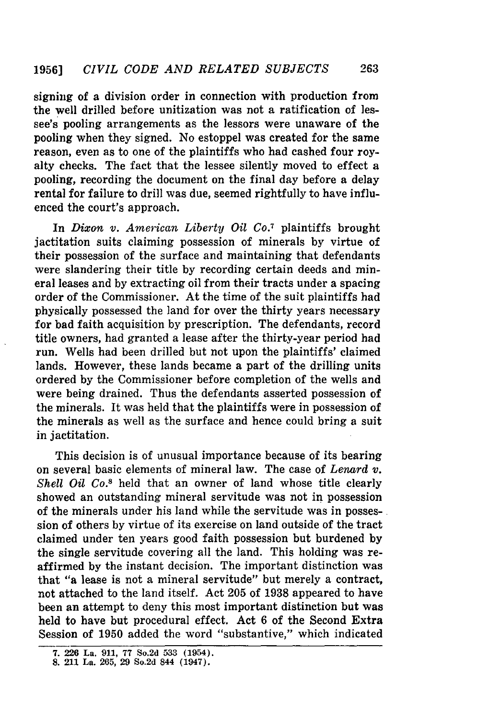signing of a division order in connection with production from the well drilled before unitization was not a ratification of lessee's pooling arrangements as the lessors were unaware of the pooling when they signed. No estoppel was created for the same reason, even as to one of the plaintiffs who had cashed four royalty checks. The fact that the lessee silently moved to effect a pooling, recording the document on the final day before a delay rental for failure to drill was due, seemed rightfully to have influenced the court's approach.

In *Dixon v. American Liberty Oil Co.7* plaintiffs brought jactitation suits claiming possession of minerals by virtue of their possession of the surface and maintaining that defendants were slandering their title by recording certain deeds and mineral leases and by extracting oil from their tracts under a spacing order of the Commissioner. At the time of the suit plaintiffs had physically possessed the land for over the thirty years necessary for bad faith acquisition by prescription. The defendants, record title owners, had granted a lease after the thirty-year period had run. Wells had been drilled but not upon the plaintiffs' claimed lands. However, these lands became a part of the drilling units ordered by the Commissioner before completion of the wells and were being drained. Thus the defendants asserted possession of the minerals. It was held that the plaintiffs were in possession of the minerals as well as the surface and hence could bring a suit in jactitation.

This decision is of unusual importance because of its bearing on several basic elements of mineral law. The case of *Lenard v. Shell Oil Co."* held that an owner of land whose title clearly showed an outstanding mineral servitude was not in possession of the minerals under his land while the servitude was in possession of others by virtue of its exercise on land outside of the tract claimed under ten years good faith possession but burdened by the single servitude covering all the land. This holding was reaffirmed by the instant decision. The important distinction was that "a lease is not a mineral servitude" but merely a contract, not attached to the land itself. Act 205 of 1938 appeared to have been an attempt to deny this most important distinction but was held to have but procedural effect. Act 6 of the Second Extra Session of 1950 added the word "substantive," which indicated

**<sup>7. 226</sup> La. 911, 77** So.2d **533** (1954).

**<sup>8.</sup>** 211 La. **265, 29 So.2d** 844 (1947).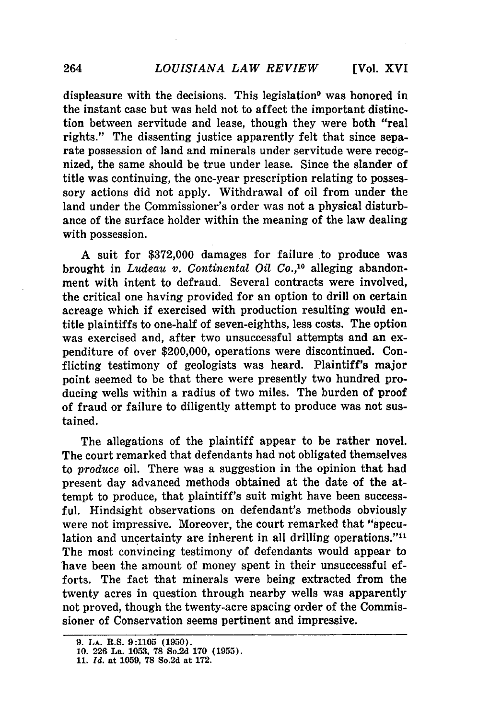displeasure with the decisions. This legislation<sup>9</sup> was honored in the instant case but was held not to affect the important distinction between servitude and lease, though they were both "real rights." The dissenting justice apparently felt that since separate possession of land and minerals under servitude were recognized, the same should be true under lease. Since the slander of title was continuing, the one-year prescription relating to possessory actions did not apply. Withdrawal of oil from under the land under the Commissioner's order was not a physical disturbance of the surface holder within the meaning of the law dealing with possession.

**A** suit for **\$372,000** damages for failure to produce was brought in *Ludeau v. Continental Oil Co.,10* alleging abandonment with intent to defraud. Several contracts were involved, the critical one having provided for an option to drill on certain acreage which if exercised with production resulting would entitle plaintiffs to one-half of seven-eighths, less costs. The option was exercised and, after two unsuccessful attempts and an expenditure of over \$200,000, operations were discontinued. Conflicting testimony **of** geologists was heard. Plaintiff's major point seemed to be that there were presently two hundred producing wells within a radius of two miles. The burden of proof of fraud or failure to diligently attempt to produce was not sustained.

The allegations of the plaintiff appear to be rather novel. The court remarked that defendants had not obligated themselves to *produce* oil. There was a suggestion in the opinion that had present day advanced methods obtained at the date of the attempt to produce, that plaintiff's suit might have been successful. Hindsight observations on defendant's methods obviously were not impressive. Moreover, the court remarked that "speculation and uncertainty are inherent in all drilling operations." $11$ The most convincing testimony of defendants would appear to have been the amount of money spent in their unsuccessful efforts. The fact that minerals were being extracted from the twenty acres in question through nearby wells was apparently not proved, though the twenty-acre spacing order of the Commissioner of Conservation seems pertinent and impressive.

**<sup>9.</sup> LA. R.S. 9:1105 (1950).**

**<sup>10. 226</sup> La. 1053, 78 So.2d 170 (1955). 11.** *Id.* **at 1059, 78 So.2d at 172.**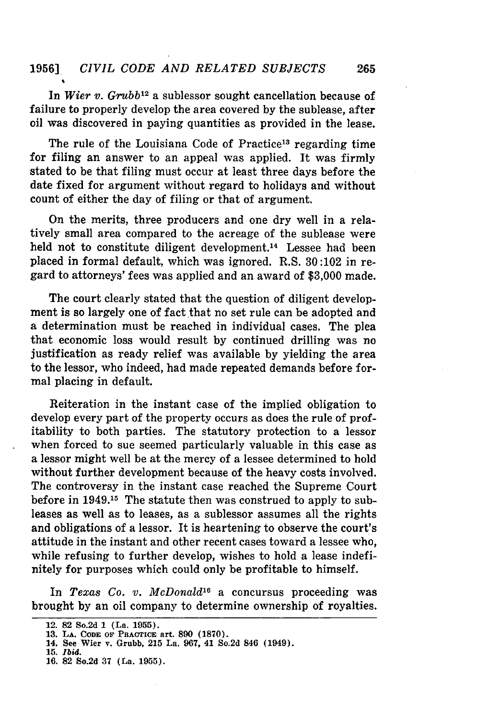In *Wier v. Grubb*<sup>12</sup> a sublessor sought cancellation because of failure to properly develop the area covered by the sublease, after oil was discovered in paying quantities as provided in the lease.

The rule of the Louisiana Code of Practice<sup>13</sup> regarding time for filing an answer to an appeal was applied. It was firmly stated to be that filing must occur at least three days before the date fixed for argument without regard to holidays and without count of either the day of filing or that of argument.

On the merits, three producers and one dry well in a relatively small area compared to the acreage of the sublease were held not to constitute diligent development.<sup>14</sup> Lessee had been placed in formal default, which was ignored. R.S. 30:102 in regard to attorneys' fees was applied and an award of \$3,000 made.

The court clearly stated that the question of diligent development is so largely one of fact that no set rule can be adopted and a determination must be reached in individual cases. The plea that economic loss would result by continued drilling was no justification as ready relief was available by yielding the area to the lessor, who indeed, had made repeated demands before formal placing in default.

Reiteration in the instant case of the implied obligation to develop every part of the property occurs as does the rule of profitability to both parties. The statutory protection to a lessor when forced to sue seemed particularly valuable in this case as a lessor might well be at the mercy of a lessee determined to hold without further development because of the heavy costs involved. The controversy in the instant case reached the Supreme Court before in 1949.15 The statute then was construed to apply to subleases as well as to leases, as a sublessor assumes all the rights and obligations of a lessor. It is heartening to observe the court's attitude in the instant and other recent cases toward a lessee who, while refusing to further develop, wishes to hold a lease indefinitely for purposes which could only be profitable to himself.

In *Texas Co. v. McDonald'6* a concursus proceeding was brought by an oil company to determine ownership of royalties.

<sup>12.</sup> **82** So.2d **1** (La. **1955).**

**<sup>13.</sup> LA. CODE OF PRACTICE art. 890 (1870).**

**<sup>14.</sup> See Wier v. Grubb, 215 La. 967, 41 So.2d 846 (1949).**

**<sup>15.</sup>** *Ibid.*

**<sup>16. 82</sup> So.2d 37 (La. 1955).**